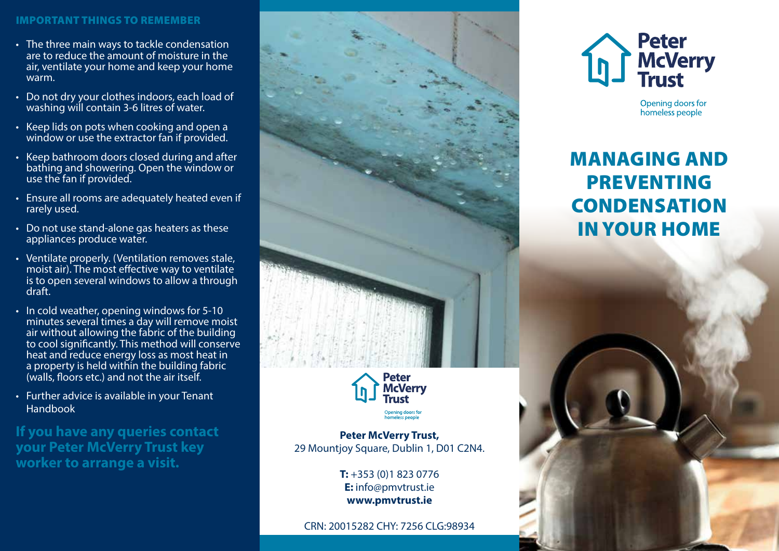#### IMPORTANT THINGS TO REMEMBER

- The three main ways to tackle condensation are to reduce the amount of moisture in the air, ventilate your home and keep your home warm.
- Do not dry your clothes indoors, each load of washing will contain 3-6 litres of water.
- Keep lids on pots when cooking and open a window or use the extractor fan if provided.
- Keep bathroom doors closed during and after bathing and showering. Open the window or use the fan if provided.
- Ensure all rooms are adequately heated even if rarely used.
- Do not use stand-alone gas heaters as these appliances produce water.
- Ventilate properly. (Ventilation removes stale, moist air). The most effective way to ventilate is to open several windows to allow a through draft.
- In cold weather, opening windows for 5-10 minutes several times a day will remove moist air without allowing the fabric of the building to cool significantly. This method will conserve heat and reduce energy loss as most heat in a property is held within the building fabric (walls, floors etc.) and not the air itself.
- Further advice is available in your Tenant Handbook

**If you have any queries contact your Peter McVerry Trust key worker to arrange a visit.**



Opening doors for

**Peter McVerry Trust,**  29 Mountjoy Square, Dublin 1, D01 C2N4.

> **T:** +353 (0)1 823 0776 **E:** info@pmvtrust.ie **www.pmvtrust.ie**

CRN: 20015282 CHY: 7256 CLG:98934



Opening doors for homeless people

# MANAGING AND PREVENTING **CONDENSATION** IN YOUR HOME